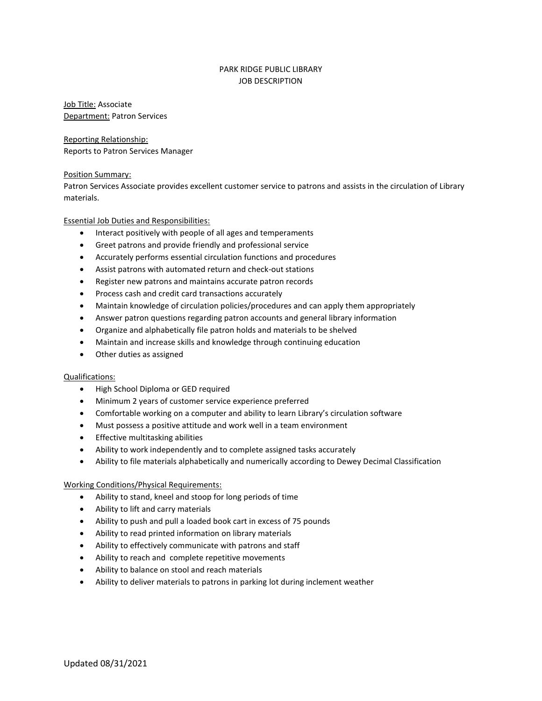## PARK RIDGE PUBLIC LIBRARY JOB DESCRIPTION

Job Title: Associate Department: Patron Services

Reporting Relationship: Reports to Patron Services Manager

## Position Summary:

Patron Services Associate provides excellent customer service to patrons and assists in the circulation of Library materials.

Essential Job Duties and Responsibilities:

- Interact positively with people of all ages and temperaments
- Greet patrons and provide friendly and professional service
- Accurately performs essential circulation functions and procedures
- Assist patrons with automated return and check-out stations
- Register new patrons and maintains accurate patron records
- Process cash and credit card transactions accurately
- Maintain knowledge of circulation policies/procedures and can apply them appropriately
- Answer patron questions regarding patron accounts and general library information
- Organize and alphabetically file patron holds and materials to be shelved
- Maintain and increase skills and knowledge through continuing education
- Other duties as assigned

## Qualifications:

- High School Diploma or GED required
- Minimum 2 years of customer service experience preferred
- Comfortable working on a computer and ability to learn Library's circulation software
- Must possess a positive attitude and work well in a team environment
- **•** Effective multitasking abilities
- Ability to work independently and to complete assigned tasks accurately
- Ability to file materials alphabetically and numerically according to Dewey Decimal Classification

## Working Conditions/Physical Requirements:

- Ability to stand, kneel and stoop for long periods of time
- Ability to lift and carry materials
- Ability to push and pull a loaded book cart in excess of 75 pounds
- Ability to read printed information on library materials
- Ability to effectively communicate with patrons and staff
- Ability to reach and complete repetitive movements
- Ability to balance on stool and reach materials
- Ability to deliver materials to patrons in parking lot during inclement weather